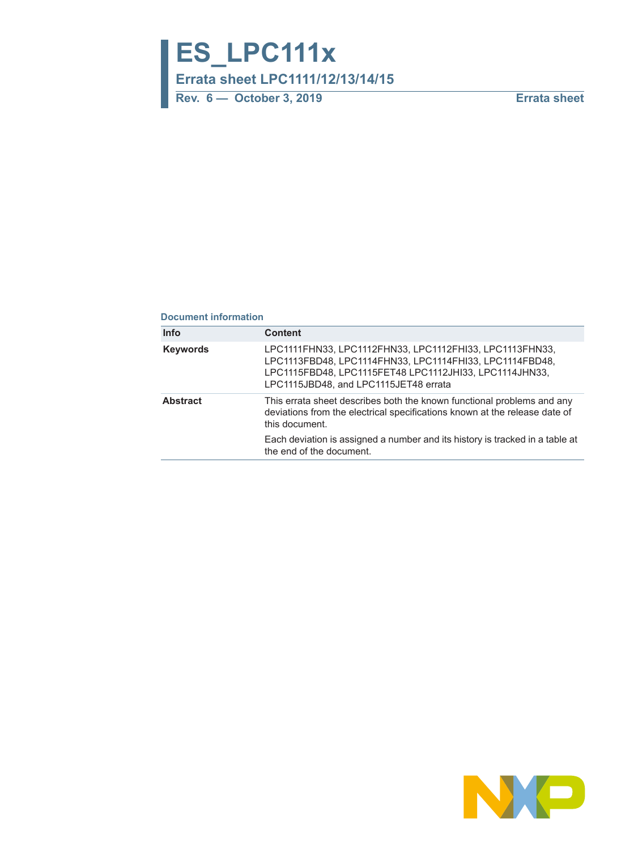**ES\_LPC111x**

**Errata sheet LPC1111/12/13/14/15**

**Rev. 6 — October 3, 2019 Errata sheet**

#### **Document information**

| <b>Info</b>     | <b>Content</b>                                                                                                                                                                                                        |
|-----------------|-----------------------------------------------------------------------------------------------------------------------------------------------------------------------------------------------------------------------|
| <b>Keywords</b> | LPC1111FHN33, LPC1112FHN33, LPC1112FHI33, LPC1113FHN33,<br>LPC1113FBD48, LPC1114FHN33, LPC1114FHI33, LPC1114FBD48,<br>LPC1115FBD48, LPC1115FET48 LPC1112JHI33, LPC1114JHN33,<br>LPC1115JBD48, and LPC1115JET48 errata |
| <b>Abstract</b> | This errata sheet describes both the known functional problems and any<br>deviations from the electrical specifications known at the release date of<br>this document.                                                |
|                 | Each deviation is assigned a number and its history is tracked in a table at<br>the end of the document.                                                                                                              |

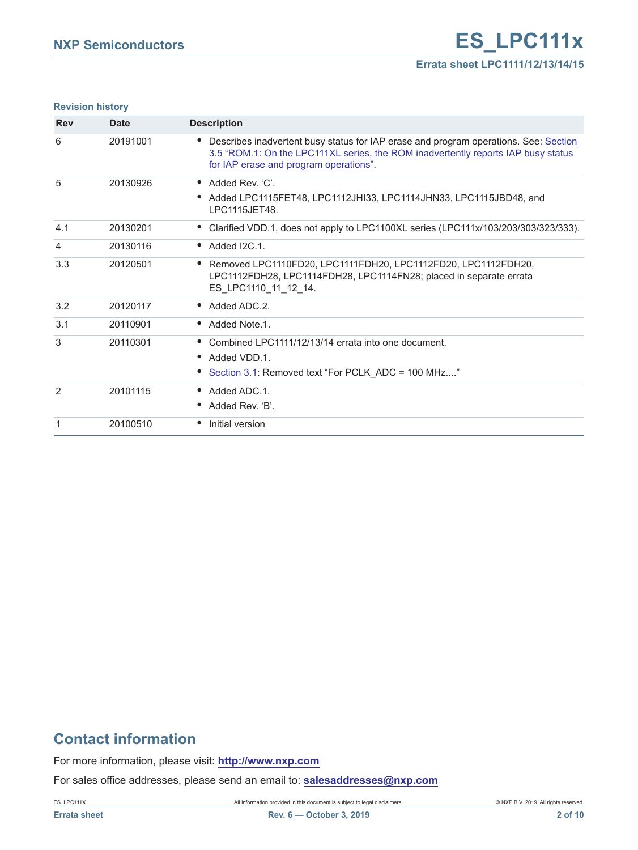#### **Revision history**

| <b>Rev</b> | <b>Date</b> | <b>Description</b>                                                                                                                                                                                                       |
|------------|-------------|--------------------------------------------------------------------------------------------------------------------------------------------------------------------------------------------------------------------------|
| 6          | 20191001    | Describes inadvertent busy status for IAP erase and program operations. See: Section<br>٠<br>3.5 "ROM.1: On the LPC111XL series, the ROM inadvertently reports IAP busy status<br>for IAP erase and program operations". |
| 5          | 20130926    | • Added Rev. 'C'.                                                                                                                                                                                                        |
|            |             | Added LPC1115FET48, LPC1112JHI33, LPC1114JHN33, LPC1115JBD48, and<br>٠<br>I PC1115.JFT48.                                                                                                                                |
| 4.1        | 20130201    | Clarified VDD.1, does not apply to LPC1100XL series (LPC111x/103/203/303/323/333).                                                                                                                                       |
| 4          | 20130116    | Added I2C.1.<br>$\bullet$                                                                                                                                                                                                |
| 3.3        | 20120501    | Removed LPC1110FD20, LPC1111FDH20, LPC1112FD20, LPC1112FDH20,<br>$\bullet$<br>LPC1112FDH28, LPC1114FDH28, LPC1114FN28; placed in separate errata<br>ES LPC1110 11 12 14.                                                 |
| 3.2        | 20120117    | $\bullet$ Added ADC 2.                                                                                                                                                                                                   |
| 3.1        | 20110901    | Added Note.1.<br>$\bullet$                                                                                                                                                                                               |
| 3          | 20110301    | Combined LPC1111/12/13/14 errata into one document.<br>$\bullet$                                                                                                                                                         |
|            |             | Added VDD.1.<br>٠                                                                                                                                                                                                        |
|            |             | Section 3.1: Removed text "For PCLK_ADC = 100 MHz"                                                                                                                                                                       |
| 2          | 20101115    | Added ADC.1.<br>$\bullet$                                                                                                                                                                                                |
|            |             | Added Rev. 'B'.<br>$\bullet$                                                                                                                                                                                             |
| 1          | 20100510    | Initial version<br>$\bullet$                                                                                                                                                                                             |

## **Contact information**

For more information, please visit: **http://www.nxp.com**

For sales office addresses, please send an email to: **salesaddresses@nxp.com**

ES\_LPC111X All information provided in this document is subject to legal disclaimers. © NXP B.V. 2019. All rights reserved.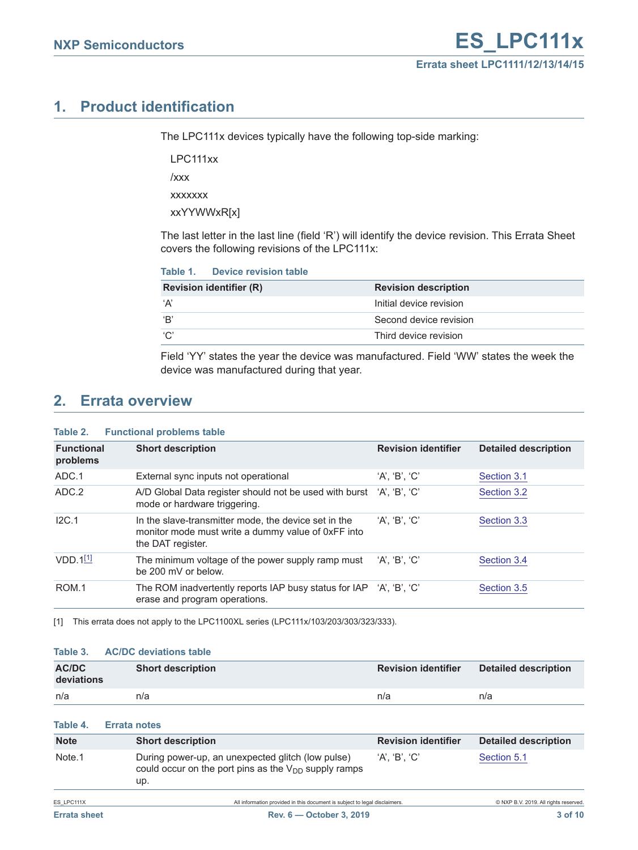## **1. Product identification**

The LPC111x devices typically have the following top-side marking:

LPC111xx /xxx

xxxxxxx

xxYYWWxR[x]

The last letter in the last line (field 'R') will identify the device revision. This Errata Sheet covers the following revisions of the LPC111x:

| Table 1. | <b>Device revision table</b> |  |
|----------|------------------------------|--|
|          |                              |  |

| <b>Revision identifier (R)</b> | <b>Revision description</b> |
|--------------------------------|-----------------------------|
| ʻA'                            | Initial device revision     |
| ʻB'                            | Second device revision      |
| C'                             | Third device revision       |

Field 'YY' states the year the device was manufactured. Field 'WW' states the week the device was manufactured during that year.

## <span id="page-2-1"></span>**2. Errata overview**

| <b>Functional problems table</b><br>Table 2. |                                                                                                                                 |                            |                             |
|----------------------------------------------|---------------------------------------------------------------------------------------------------------------------------------|----------------------------|-----------------------------|
| <b>Functional</b><br>problems                | <b>Short description</b>                                                                                                        | <b>Revision identifier</b> | <b>Detailed description</b> |
| ADC.1                                        | External sync inputs not operational                                                                                            | 'A', 'B', 'C'              | Section 3.1                 |
| ADC.2                                        | A/D Global Data register should not be used with burst<br>mode or hardware triggering.                                          | $'A$ '. 'B'. 'C'           | Section 3.2                 |
| IC.1                                         | In the slave-transmitter mode, the device set in the<br>monitor mode must write a dummy value of 0xFF into<br>the DAT register. | $'A$ . $'B'$ . $'C'$       | Section 3.3                 |
| $VDD.1$ <sup>[1]</sup>                       | The minimum voltage of the power supply ramp must<br>be 200 mV or below.                                                        | 'A', 'B', 'C'              | Section 3.4                 |
| ROM.1                                        | The ROM inadvertently reports IAP busy status for IAP<br>erase and program operations.                                          | 'A', 'B', 'C'              | Section 3.5                 |

<span id="page-2-0"></span>[1] This errata does not apply to the LPC1100XL series (LPC111x/103/203/303/323/333).

#### **Table 3. AC/DC deviations table**

| AC/DC<br>deviations | <b>Short description</b>                                                                                              | <b>Revision identifier</b> | <b>Detailed description</b> |
|---------------------|-----------------------------------------------------------------------------------------------------------------------|----------------------------|-----------------------------|
| n/a                 | n/a                                                                                                                   | n/a                        | n/a                         |
| Table 4.            | <b>Errata notes</b>                                                                                                   |                            |                             |
| <b>Note</b>         | <b>Short description</b>                                                                                              | <b>Revision identifier</b> | <b>Detailed description</b> |
| Note <sub>.1</sub>  | During power-up, an unexpected glitch (low pulse)<br>could occur on the port pins as the $V_{DD}$ supply ramps<br>up. | 'A'. 'B'. 'C'              | Section 5.1                 |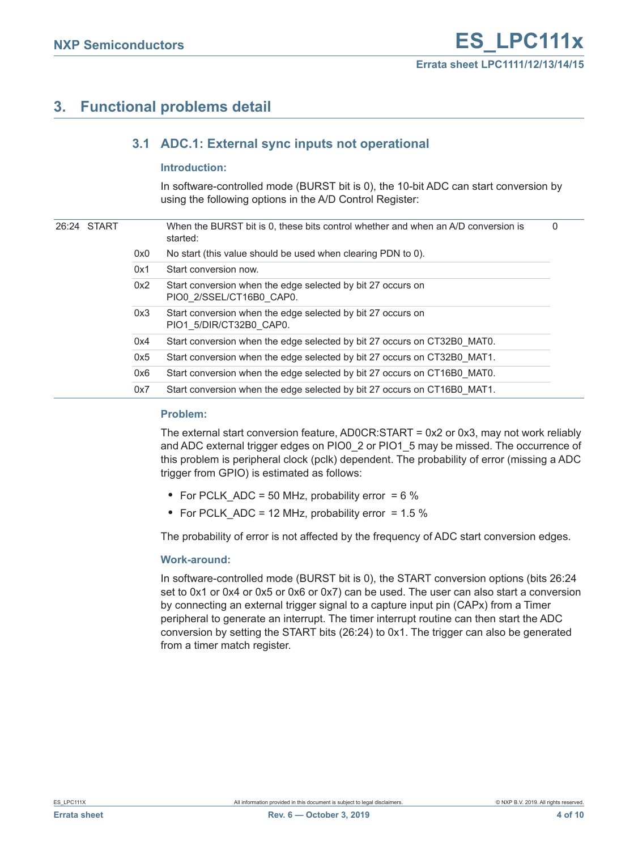## <span id="page-3-1"></span><span id="page-3-0"></span>**3. Functional problems detail**

## **3.1 ADC.1: External sync inputs not operational**

#### <span id="page-3-2"></span>**Introduction:**

In software-controlled mode (BURST bit is 0), the 10-bit ADC can start conversion by using the following options in the A/D Control Register:

|  | 26:24 START |     | When the BURST bit is 0, these bits control whether and when an A/D conversion is<br>started: | 0 |
|--|-------------|-----|-----------------------------------------------------------------------------------------------|---|
|  |             | 0x0 | No start (this value should be used when clearing PDN to 0).                                  |   |
|  |             | 0x1 | Start conversion now.                                                                         |   |
|  |             | 0x2 | Start conversion when the edge selected by bit 27 occurs on<br>PIO0 2/SSEL/CT16B0 CAP0.       |   |
|  |             | 0x3 | Start conversion when the edge selected by bit 27 occurs on<br>PIO1 5/DIR/CT32B0 CAP0.        |   |
|  |             | 0x4 | Start conversion when the edge selected by bit 27 occurs on CT32B0 MAT0.                      |   |
|  |             | 0x5 | Start conversion when the edge selected by bit 27 occurs on CT32B0 MAT1.                      |   |
|  |             | 0x6 | Start conversion when the edge selected by bit 27 occurs on CT16B0 MAT0.                      |   |
|  |             | 0x7 | Start conversion when the edge selected by bit 27 occurs on CT16B0 MAT1.                      |   |

#### <span id="page-3-3"></span>**Problem:**

The external start conversion feature, AD0CR:START = 0x2 or 0x3, may not work reliably and ADC external trigger edges on PIO0\_2 or PIO1\_5 may be missed. The occurrence of this problem is peripheral clock (pclk) dependent. The probability of error (missing a ADC trigger from GPIO) is estimated as follows:

- **•** For PCLK\_ADC = 50 MHz, probability error = 6 %
- **•** For PCLK\_ADC = 12 MHz, probability error = 1.5 %

The probability of error is not affected by the frequency of ADC start conversion edges.

#### <span id="page-3-4"></span>**Work-around:**

In software-controlled mode (BURST bit is 0), the START conversion options (bits 26:24 set to 0x1 or 0x4 or 0x5 or 0x6 or 0x7) can be used. The user can also start a conversion by connecting an external trigger signal to a capture input pin (CAPx) from a Timer peripheral to generate an interrupt. The timer interrupt routine can then start the ADC conversion by setting the START bits (26:24) to 0x1. The trigger can also be generated from a timer match register.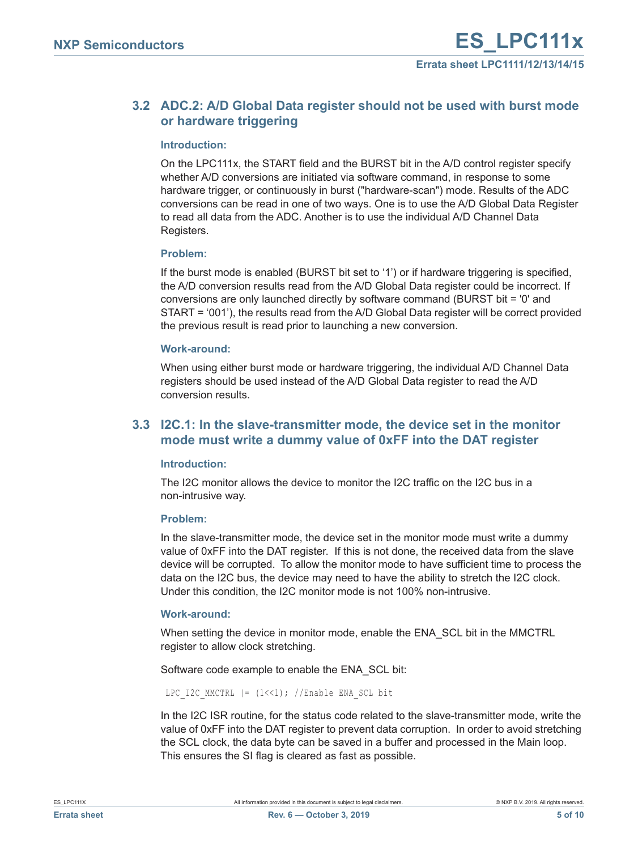## <span id="page-4-0"></span>**3.2 ADC.2: A/D Global Data register should not be used with burst mode or hardware triggering**

#### <span id="page-4-2"></span>**Introduction:**

On the LPC111x, the START field and the BURST bit in the A/D control register specify whether A/D conversions are initiated via software command, in response to some hardware trigger, or continuously in burst ("hardware-scan") mode. Results of the ADC conversions can be read in one of two ways. One is to use the A/D Global Data Register to read all data from the ADC. Another is to use the individual A/D Channel Data Registers.

#### <span id="page-4-3"></span>**Problem:**

If the burst mode is enabled (BURST bit set to '1') or if hardware triggering is specified, the A/D conversion results read from the A/D Global Data register could be incorrect. If conversions are only launched directly by software command (BURST bit = '0' and START = '001'), the results read from the A/D Global Data register will be correct provided the previous result is read prior to launching a new conversion.

#### <span id="page-4-4"></span>**Work-around:**

When using either burst mode or hardware triggering, the individual A/D Channel Data registers should be used instead of the A/D Global Data register to read the A/D conversion results.

## <span id="page-4-1"></span>**3.3 I2C.1: In the slave-transmitter mode, the device set in the monitor mode must write a dummy value of 0xFF into the DAT register**

#### <span id="page-4-5"></span>**Introduction:**

The I2C monitor allows the device to monitor the I2C traffic on the I2C bus in a non-intrusive way.

#### <span id="page-4-6"></span>**Problem:**

In the slave-transmitter mode, the device set in the monitor mode must write a dummy value of 0xFF into the DAT register. If this is not done, the received data from the slave device will be corrupted. To allow the monitor mode to have sufficient time to process the data on the I2C bus, the device may need to have the ability to stretch the I2C clock. Under this condition, the I2C monitor mode is not 100% non-intrusive.

#### <span id="page-4-7"></span>**Work-around:**

When setting the device in monitor mode, enable the ENA\_SCL bit in the MMCTRL register to allow clock stretching.

Software code example to enable the ENA\_SCL bit:

LPC I2C MMCTRL  $| = (1 \le 1);$  //Enable ENA SCL bit

In the I2C ISR routine, for the status code related to the slave-transmitter mode, write the value of 0xFF into the DAT register to prevent data corruption. In order to avoid stretching the SCL clock, the data byte can be saved in a buffer and processed in the Main loop. This ensures the SI flag is cleared as fast as possible.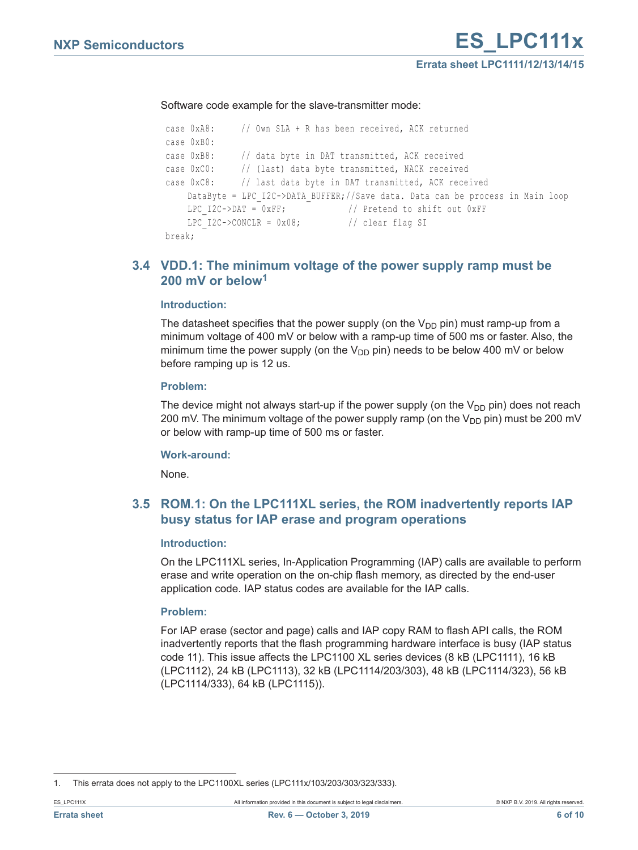Software code example for the slave-transmitter mode:

```
 case 0xA8: // Own SLA + R has been received, ACK returned 
case 0xB0:
case 0xB8: // data byte in DAT transmitted, ACK received
case 0xC0: // (last) data byte transmitted, NACK received
case 0xC8: // last data byte in DAT transmitted, ACK received
   DataByte = LPC_I2C->DATA_BUFFER;//Save data. Data can be process in Main loop
   LPC I2C->DAT = 0xFF; // Pretend to shift out 0xFF
   LPC I2C->CONCLR = 0x08; // clear flag SI
break;
```
### <span id="page-5-1"></span>**3.4 VDD.1: The minimum voltage of the power supply ramp must be 200 mV or below1**

#### <span id="page-5-2"></span>**Introduction:**

The datasheet specifies that the power supply (on the  $V_{DD}$  pin) must ramp-up from a minimum voltage of 400 mV or below with a ramp-up time of 500 ms or faster. Also, the minimum time the power supply (on the  $V_{DD}$  pin) needs to be below 400 mV or below before ramping up is 12 us.

#### <span id="page-5-3"></span>**Problem:**

The device might not always start-up if the power supply (on the  $V_{DD}$  pin) does not reach 200 mV. The minimum voltage of the power supply ramp (on the  $V_{DD}$  pin) must be 200 mV or below with ramp-up time of 500 ms or faster.

#### <span id="page-5-4"></span>**Work-around:**

None.

### <span id="page-5-0"></span>**3.5 ROM.1: On the LPC111XL series, the ROM inadvertently reports IAP busy status for IAP erase and program operations**

#### <span id="page-5-5"></span>**Introduction:**

On the LPC111XL series, In-Application Programming (IAP) calls are available to perform erase and write operation on the on-chip flash memory, as directed by the end-user application code. IAP status codes are available for the IAP calls.

#### <span id="page-5-6"></span>**Problem:**

For IAP erase (sector and page) calls and IAP copy RAM to flash API calls, the ROM inadvertently reports that the flash programming hardware interface is busy (IAP status code 11). This issue affects the LPC1100 XL series devices (8 kB (LPC1111), 16 kB (LPC1112), 24 kB (LPC1113), 32 kB (LPC1114/203/303), 48 kB (LPC1114/323), 56 kB (LPC1114/333), 64 kB (LPC1115)).

<sup>1.</sup> This errata does not apply to the LPC1100XL series (LPC111x/103/203/303/323/333).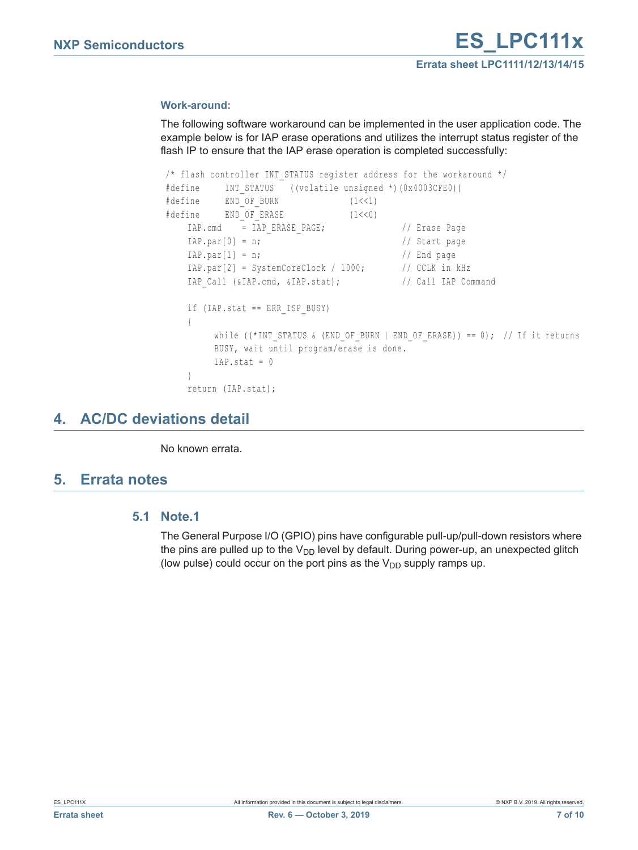#### <span id="page-6-1"></span>**Work-around:**

The following software workaround can be implemented in the user application code. The example below is for IAP erase operations and utilizes the interrupt status register of the flash IP to ensure that the IAP erase operation is completed successfully:

```
/* flash controller INT STATUS register address for the workaround */ #define INT_STATUS ((volatile unsigned *)(0x4003CFE0))
#define END_OF_BURN (1<<1)
#define END_OF_ERASE (1<<0)
  IAP.cmd = IAP_ERASE_PAGE; // Erase Page
  IAP.path[i] = n; // Start page
  IAP.par[1] = n; // End page
  IAP.par[2] = SystemCoreClock / 1000; // CCLK in kHz
  IAP Call (&IAP.cmd, &IAP.stat); // Call IAP Command
  if (IAP.stat == ERR_ISP_BUSY)
  {
       while ((*INT_STATUS & (END_OF_BURN | END_OF_ERASE)) == 0); // If it returns
       BUSY, wait until program/erase is done.
       IAP.stat = 0}
  return (IAP.stat);
```
## <span id="page-6-2"></span>**4. AC/DC deviations detail**

No known errata.

## <span id="page-6-3"></span><span id="page-6-0"></span>**5. Errata notes**

### **5.1 Note.1**

The General Purpose I/O (GPIO) pins have configurable pull-up/pull-down resistors where the pins are pulled up to the  $V_{DD}$  level by default. During power-up, an unexpected glitch (low pulse) could occur on the port pins as the  $V_{DD}$  supply ramps up.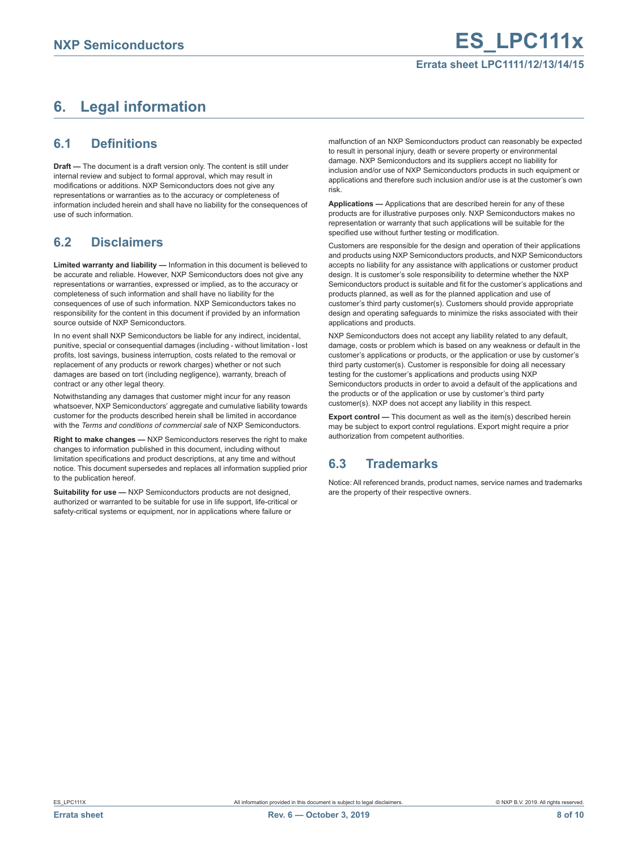### **Errata sheet LPC1111/12/13/14/15**

## <span id="page-7-0"></span>**6. Legal information**

### <span id="page-7-1"></span>**6.1 Definitions**

**Draft —** The document is a draft version only. The content is still under internal review and subject to formal approval, which may result in modifications or additions. NXP Semiconductors does not give any representations or warranties as to the accuracy or completeness of information included herein and shall have no liability for the consequences of use of such information.

## <span id="page-7-2"></span>**6.2 Disclaimers**

**Limited warranty and liability —** Information in this document is believed to be accurate and reliable. However, NXP Semiconductors does not give any representations or warranties, expressed or implied, as to the accuracy or completeness of such information and shall have no liability for the consequences of use of such information. NXP Semiconductors takes no responsibility for the content in this document if provided by an information source outside of NXP Semiconductors.

In no event shall NXP Semiconductors be liable for any indirect, incidental, punitive, special or consequential damages (including - without limitation - lost profits, lost savings, business interruption, costs related to the removal or replacement of any products or rework charges) whether or not such damages are based on tort (including negligence), warranty, breach of contract or any other legal theory.

Notwithstanding any damages that customer might incur for any reason whatsoever, NXP Semiconductors' aggregate and cumulative liability towards customer for the products described herein shall be limited in accordance with the *Terms and conditions of commercial sale* of NXP Semiconductors.

**Right to make changes — NXP Semiconductors reserves the right to make** changes to information published in this document, including without limitation specifications and product descriptions, at any time and without notice. This document supersedes and replaces all information supplied prior to the publication hereof.

**Suitability for use —** NXP Semiconductors products are not designed, authorized or warranted to be suitable for use in life support, life-critical or safety-critical systems or equipment, nor in applications where failure or

malfunction of an NXP Semiconductors product can reasonably be expected to result in personal injury, death or severe property or environmental damage. NXP Semiconductors and its suppliers accept no liability for inclusion and/or use of NXP Semiconductors products in such equipment or applications and therefore such inclusion and/or use is at the customer's own risk.

**Applications —** Applications that are described herein for any of these products are for illustrative purposes only. NXP Semiconductors makes no representation or warranty that such applications will be suitable for the specified use without further testing or modification.

Customers are responsible for the design and operation of their applications and products using NXP Semiconductors products, and NXP Semiconductors accepts no liability for any assistance with applications or customer product design. It is customer's sole responsibility to determine whether the NXP Semiconductors product is suitable and fit for the customer's applications and products planned, as well as for the planned application and use of customer's third party customer(s). Customers should provide appropriate design and operating safeguards to minimize the risks associated with their applications and products.

NXP Semiconductors does not accept any liability related to any default, damage, costs or problem which is based on any weakness or default in the customer's applications or products, or the application or use by customer's third party customer(s). Customer is responsible for doing all necessary testing for the customer's applications and products using NXP Semiconductors products in order to avoid a default of the applications and the products or of the application or use by customer's third party customer(s). NXP does not accept any liability in this respect.

**Export control —** This document as well as the item(s) described herein may be subject to export control regulations. Export might require a prior authorization from competent authorities.

## <span id="page-7-3"></span>**6.3 Trademarks**

Notice: All referenced brands, product names, service names and trademarks are the property of their respective owners.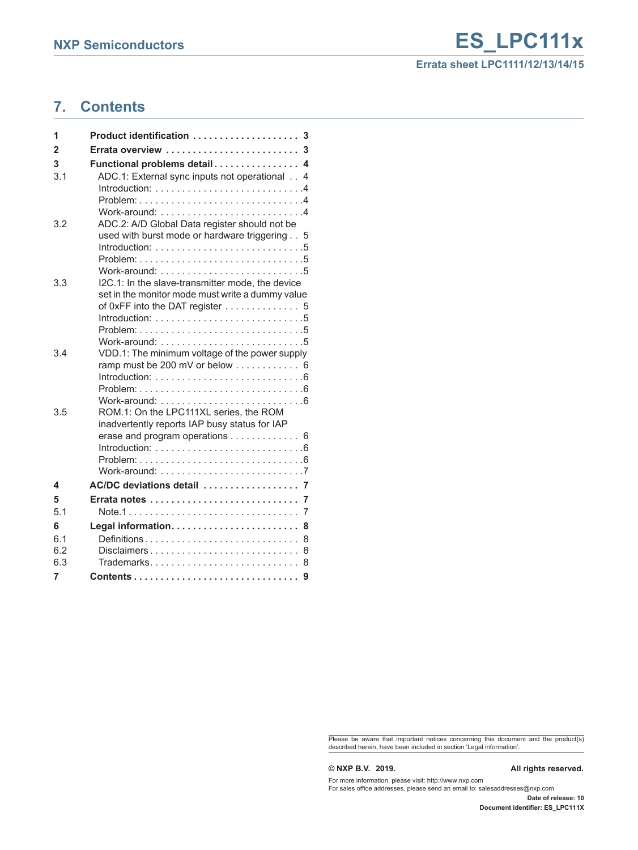## **Errata sheet LPC1111/12/13/14/15**

## <span id="page-8-0"></span>**7. Contents**

| 1                       | Product identification  3                                                                               |
|-------------------------|---------------------------------------------------------------------------------------------------------|
| $\overline{\mathbf{2}}$ | Errata overview  3                                                                                      |
| 3                       | Functional problems detail 4                                                                            |
| 3.1                     | ADC.1: External sync inputs not operational 4                                                           |
|                         | Introduction: $\ldots \ldots \ldots \ldots \ldots \ldots \ldots$                                        |
|                         |                                                                                                         |
|                         | Work-around: $\ldots \ldots \ldots \ldots \ldots \ldots \ldots$                                         |
| 3.2                     | ADC.2: A/D Global Data register should not be                                                           |
|                         | used with burst mode or hardware triggering 5                                                           |
|                         |                                                                                                         |
|                         | Work-around: 5                                                                                          |
| 3.3                     | I2C.1: In the slave-transmitter mode, the device                                                        |
|                         | set in the monitor mode must write a dummy value                                                        |
|                         | of 0xFF into the DAT register 5                                                                         |
|                         | Introduction: $\ldots \ldots \ldots \ldots \ldots \ldots \ldots \ldots 5$                               |
|                         |                                                                                                         |
|                         |                                                                                                         |
| 3.4                     | VDD.1: The minimum voltage of the power supply<br>ramp must be 200 mV or below $\ldots \ldots \ldots$ 6 |
|                         | $Introduction: 6$                                                                                       |
|                         |                                                                                                         |
|                         |                                                                                                         |
| 3.5                     | ROM.1: On the LPC111XL series, the ROM                                                                  |
|                         | inadvertently reports IAP busy status for IAP                                                           |
|                         | erase and program operations $\ldots \ldots \ldots$ 6                                                   |
|                         |                                                                                                         |
|                         | Problem:                                                                                                |
|                         |                                                                                                         |
| 4                       | AC/DC deviations detail  7                                                                              |
| 5                       | 7                                                                                                       |
| 5.1                     | 7                                                                                                       |
| 6                       | 8                                                                                                       |
| 6.1<br>6.2              | Definitions<br>8                                                                                        |
| 6.3                     | $Disclaimers \ldots \ldots \ldots \ldots \ldots \ldots \ldots$<br>8<br>Trademarks<br>8                  |
| 7                       |                                                                                                         |
|                         |                                                                                                         |

Please be aware that important notices concerning this document and the product(s) described herein, have been included in section 'Legal information'.

#### **© NXP B.V. 2019. All rights reserved.**

For more information, please visit: http://www.nxp.com For sales office addresses, please send an email to: salesaddresses@nxp.com

**Date of release: 10 Document identifier: ES\_LPC111X**